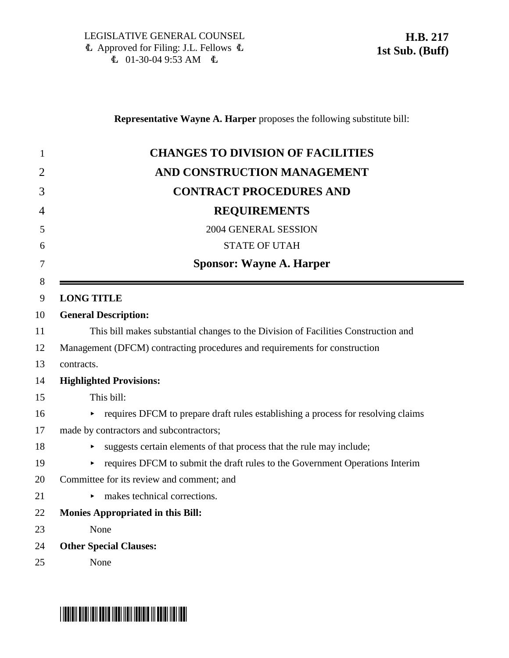**Representative Wayne A. Harper** proposes the following substitute bill:

| $\mathbf{1}$   | <b>CHANGES TO DIVISION OF FACILITIES</b>                                           |
|----------------|------------------------------------------------------------------------------------|
| $\overline{2}$ | AND CONSTRUCTION MANAGEMENT                                                        |
| 3              | <b>CONTRACT PROCEDURES AND</b>                                                     |
| 4              | <b>REQUIREMENTS</b>                                                                |
| 5              | 2004 GENERAL SESSION                                                               |
| 6              | <b>STATE OF UTAH</b>                                                               |
| 7              | <b>Sponsor: Wayne A. Harper</b>                                                    |
| 8<br>9         | <b>LONG TITLE</b>                                                                  |
| 10             | <b>General Description:</b>                                                        |
| 11             | This bill makes substantial changes to the Division of Facilities Construction and |
| 12             | Management (DFCM) contracting procedures and requirements for construction         |
| 13             | contracts.                                                                         |
| 14             | <b>Highlighted Provisions:</b>                                                     |
| 15             | This bill:                                                                         |
| 16             | requires DFCM to prepare draft rules establishing a process for resolving claims   |
| 17             | made by contractors and subcontractors;                                            |
| 18             | suggests certain elements of that process that the rule may include;               |
| 19             | requires DFCM to submit the draft rules to the Government Operations Interim       |
| 20             | Committee for its review and comment; and                                          |
| 21             | makes technical corrections.                                                       |
| 22             | <b>Monies Appropriated in this Bill:</b>                                           |
| 23             | None                                                                               |
| 24             | <b>Other Special Clauses:</b>                                                      |
| 25             | None                                                                               |

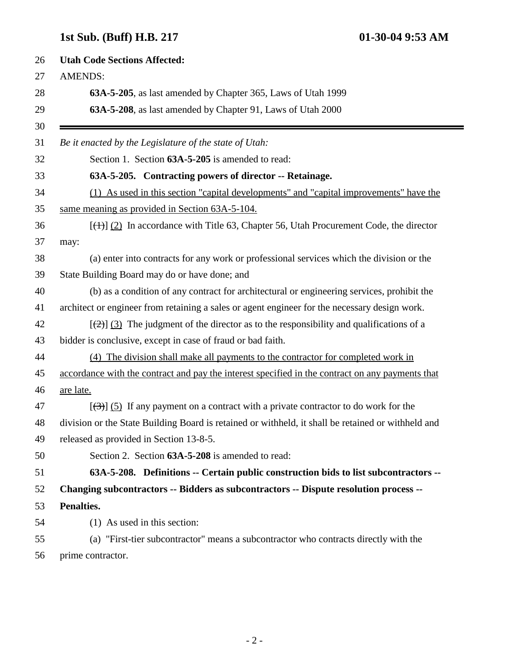## **1st Sub. (Buff) H.B. 217 01-30-04 9:53 AM**

| 26 | <b>Utah Code Sections Affected:</b>                                                                |
|----|----------------------------------------------------------------------------------------------------|
| 27 | <b>AMENDS:</b>                                                                                     |
| 28 | 63A-5-205, as last amended by Chapter 365, Laws of Utah 1999                                       |
| 29 | 63A-5-208, as last amended by Chapter 91, Laws of Utah 2000                                        |
| 30 |                                                                                                    |
| 31 | Be it enacted by the Legislature of the state of Utah:                                             |
| 32 | Section 1. Section 63A-5-205 is amended to read:                                                   |
| 33 | 63A-5-205. Contracting powers of director -- Retainage.                                            |
| 34 | (1) As used in this section "capital developments" and "capital improvements" have the             |
| 35 | same meaning as provided in Section 63A-5-104.                                                     |
| 36 | $[\frac{(+)}{2}]$ In accordance with Title 63, Chapter 56, Utah Procurement Code, the director     |
| 37 | may:                                                                                               |
| 38 | (a) enter into contracts for any work or professional services which the division or the           |
| 39 | State Building Board may do or have done; and                                                      |
| 40 | (b) as a condition of any contract for architectural or engineering services, prohibit the         |
| 41 | architect or engineer from retaining a sales or agent engineer for the necessary design work.      |
| 42 | $[\frac{1}{2}]$ (3) The judgment of the director as to the responsibility and qualifications of a  |
| 43 | bidder is conclusive, except in case of fraud or bad faith.                                        |
| 44 | (4) The division shall make all payments to the contractor for completed work in                   |
| 45 | accordance with the contract and pay the interest specified in the contract on any payments that   |
| 46 | are late.                                                                                          |
| 47 | $[\langle 3\rangle]$ (5) If any payment on a contract with a private contractor to do work for the |
| 48 | division or the State Building Board is retained or withheld, it shall be retained or withheld and |
| 49 | released as provided in Section 13-8-5.                                                            |
| 50 | Section 2. Section 63A-5-208 is amended to read:                                                   |
| 51 | 63A-5-208. Definitions -- Certain public construction bids to list subcontractors --               |
| 52 | Changing subcontractors -- Bidders as subcontractors -- Dispute resolution process --              |
| 53 | Penalties.                                                                                         |
| 54 | (1) As used in this section:                                                                       |
| 55 | (a) "First-tier subcontractor" means a subcontractor who contracts directly with the               |
| 56 | prime contractor.                                                                                  |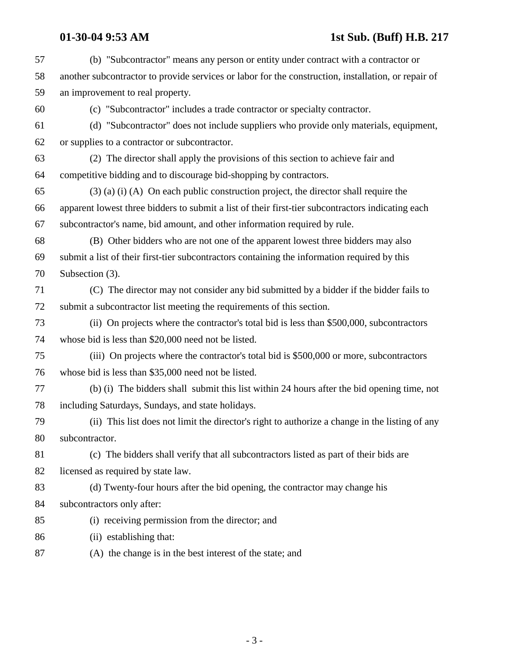## **01-30-04 9:53 AM 1st Sub. (Buff) H.B. 217**

| 57 | (b) "Subcontractor" means any person or entity under contract with a contractor or                  |
|----|-----------------------------------------------------------------------------------------------------|
| 58 | another subcontractor to provide services or labor for the construction, installation, or repair of |
| 59 | an improvement to real property.                                                                    |
| 60 | (c) "Subcontractor" includes a trade contractor or specialty contractor.                            |
| 61 | (d) "Subcontractor" does not include suppliers who provide only materials, equipment,               |
| 62 | or supplies to a contractor or subcontractor.                                                       |
| 63 | (2) The director shall apply the provisions of this section to achieve fair and                     |
| 64 | competitive bidding and to discourage bid-shopping by contractors.                                  |
| 65 | $(3)$ (a) (i) (A) On each public construction project, the director shall require the               |
| 66 | apparent lowest three bidders to submit a list of their first-tier subcontractors indicating each   |
| 67 | subcontractor's name, bid amount, and other information required by rule.                           |
| 68 | (B) Other bidders who are not one of the apparent lowest three bidders may also                     |
| 69 | submit a list of their first-tier subcontractors containing the information required by this        |
| 70 | Subsection (3).                                                                                     |
| 71 | (C) The director may not consider any bid submitted by a bidder if the bidder fails to              |
| 72 | submit a subcontractor list meeting the requirements of this section.                               |
| 73 | (ii) On projects where the contractor's total bid is less than \$500,000, subcontractors            |
| 74 | whose bid is less than \$20,000 need not be listed.                                                 |
| 75 | (iii) On projects where the contractor's total bid is \$500,000 or more, subcontractors             |
| 76 | whose bid is less than \$35,000 need not be listed.                                                 |
| 77 | (b) (i) The bidders shall submit this list within 24 hours after the bid opening time, not          |
| 78 | including Saturdays, Sundays, and state holidays.                                                   |
| 79 | (ii) This list does not limit the director's right to authorize a change in the listing of any      |
| 80 | subcontractor.                                                                                      |
| 81 | (c) The bidders shall verify that all subcontractors listed as part of their bids are               |
| 82 | licensed as required by state law.                                                                  |
| 83 | (d) Twenty-four hours after the bid opening, the contractor may change his                          |
| 84 | subcontractors only after:                                                                          |
| 85 | (i) receiving permission from the director; and                                                     |
| 86 | (ii) establishing that:                                                                             |
| 87 | (A) the change is in the best interest of the state; and                                            |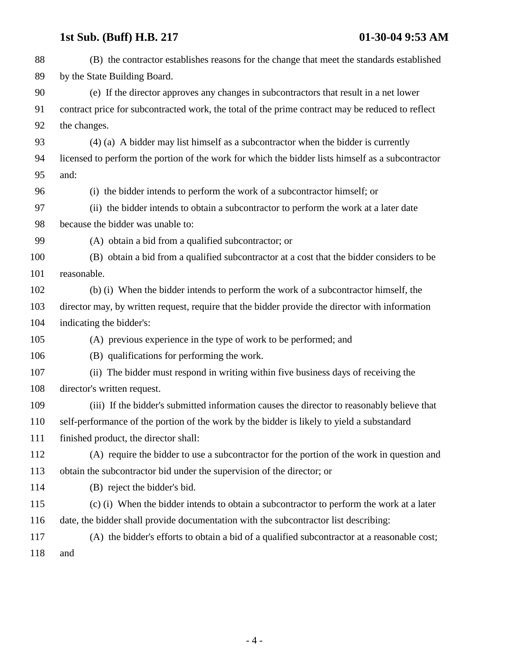# **1st Sub. (Buff) H.B. 217 01-30-04 9:53 AM**

| 88  | (B) the contractor establishes reasons for the change that meet the standards established         |
|-----|---------------------------------------------------------------------------------------------------|
| 89  | by the State Building Board.                                                                      |
| 90  | (e) If the director approves any changes in subcontractors that result in a net lower             |
| 91  | contract price for subcontracted work, the total of the prime contract may be reduced to reflect  |
| 92  | the changes.                                                                                      |
| 93  | $(4)$ (a) A bidder may list himself as a subcontractor when the bidder is currently               |
| 94  | licensed to perform the portion of the work for which the bidder lists himself as a subcontractor |
| 95  | and:                                                                                              |
| 96  | (i) the bidder intends to perform the work of a subcontractor himself; or                         |
| 97  | (ii) the bidder intends to obtain a subcontractor to perform the work at a later date             |
| 98  | because the bidder was unable to:                                                                 |
| 99  | (A) obtain a bid from a qualified subcontractor; or                                               |
| 100 | (B) obtain a bid from a qualified subcontractor at a cost that the bidder considers to be         |
| 101 | reasonable.                                                                                       |
| 102 | (b) (i) When the bidder intends to perform the work of a subcontractor himself, the               |
| 103 | director may, by written request, require that the bidder provide the director with information   |
| 104 | indicating the bidder's:                                                                          |
| 105 | (A) previous experience in the type of work to be performed; and                                  |
| 106 | (B) qualifications for performing the work.                                                       |
| 107 | (ii) The bidder must respond in writing within five business days of receiving the                |
| 108 | director's written request.                                                                       |
| 109 | (iii) If the bidder's submitted information causes the director to reasonably believe that        |
| 110 | self-performance of the portion of the work by the bidder is likely to yield a substandard        |
| 111 | finished product, the director shall:                                                             |
| 112 | (A) require the bidder to use a subcontractor for the portion of the work in question and         |
| 113 | obtain the subcontractor bid under the supervision of the director; or                            |
| 114 | (B) reject the bidder's bid.                                                                      |
| 115 | (c) (i) When the bidder intends to obtain a subcontractor to perform the work at a later          |
| 116 | date, the bidder shall provide documentation with the subcontractor list describing:              |
| 117 | (A) the bidder's efforts to obtain a bid of a qualified subcontractor at a reasonable cost;       |
| 118 | and                                                                                               |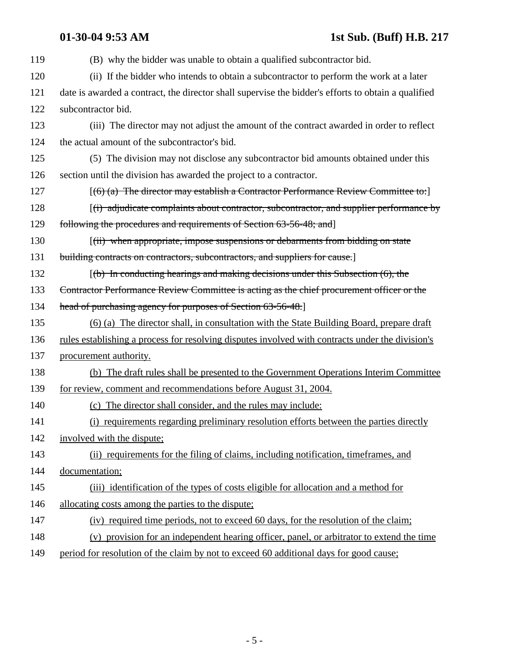| 119 | (B) why the bidder was unable to obtain a qualified subcontractor bid.                              |
|-----|-----------------------------------------------------------------------------------------------------|
| 120 | (ii) If the bidder who intends to obtain a subcontractor to perform the work at a later             |
| 121 | date is awarded a contract, the director shall supervise the bidder's efforts to obtain a qualified |
| 122 | subcontractor bid.                                                                                  |
| 123 | (iii) The director may not adjust the amount of the contract awarded in order to reflect            |
| 124 | the actual amount of the subcontractor's bid.                                                       |
| 125 | (5) The division may not disclose any subcontractor bid amounts obtained under this                 |
| 126 | section until the division has awarded the project to a contractor.                                 |
| 127 | $[(6)$ (a) The director may establish a Contractor Performance Review Committee to:                 |
| 128 | $(i)$ adjudicate complaints about contractor, subcontractor, and supplier performance by            |
| 129 | following the procedures and requirements of Section 63-56-48; and                                  |
| 130 | [(ii) when appropriate, impose suspensions or debarments from bidding on state                      |
| 131 | building contracts on contractors, subcontractors, and suppliers for cause.]                        |
| 132 | $(6)$ In conducting hearings and making decisions under this Subsection $(6)$ , the                 |
| 133 | Contractor Performance Review Committee is acting as the chief procurement officer or the           |
| 134 | head of purchasing agency for purposes of Section 63-56-48.]                                        |
| 135 | (6) (a) The director shall, in consultation with the State Building Board, prepare draft            |
| 136 | rules establishing a process for resolving disputes involved with contracts under the division's    |
| 137 | procurement authority.                                                                              |
| 138 | (b) The draft rules shall be presented to the Government Operations Interim Committee               |
| 139 | for review, comment and recommendations before August 31, 2004.                                     |
| 140 | (c) The director shall consider, and the rules may include:                                         |
| 141 | (i) requirements regarding preliminary resolution efforts between the parties directly              |
| 142 | involved with the dispute;                                                                          |
| 143 | (ii) requirements for the filing of claims, including notification, timeframes, and                 |
| 144 | documentation;                                                                                      |
| 145 | (iii) identification of the types of costs eligible for allocation and a method for                 |
| 146 | allocating costs among the parties to the dispute;                                                  |
| 147 | (iv) required time periods, not to exceed 60 days, for the resolution of the claim;                 |
| 148 | (v) provision for an independent hearing officer, panel, or arbitrator to extend the time           |
| 149 | period for resolution of the claim by not to exceed 60 additional days for good cause;              |